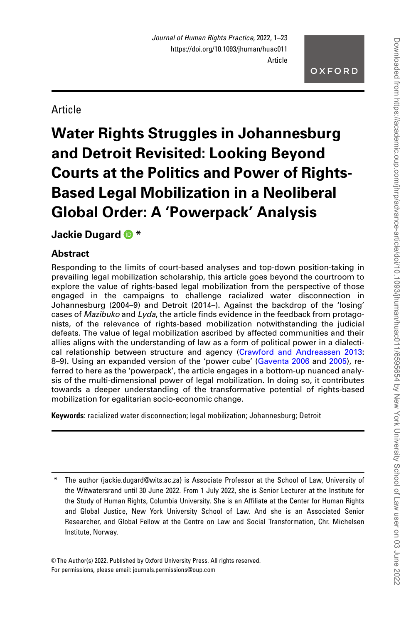# **Article**

# Water Rights Struggles in Johannesburg and Detroit Revisited: Looking Beyond Courts at the Politics and Power of Rights-Based Legal Mobilization in a Neoliberal Global Order: A 'Powerpack' Analysis

# Jackie Dugard **D** \*

# **Abstract**

Responding to the limits of court-based analyses and top-down position-taking in prevailing legal mobilization scholarship, this article goes beyond the courtroom to explore the value of rights-based legal mobilization from the perspective of those engaged in the campaigns to challenge racialized water disconnection in Johannesburg (2004–9) and Detroit (2014–). Against the backdrop of the 'losing' cases of Mazibuko and Lyda, the article finds evidence in the feedback from protagonists, of the relevance of rights-based mobilization notwithstanding the judicial defeats. The value of legal mobilization ascribed by affected communities and their allies aligns with the understanding of law as a form of political power in a dialectical relationship between structure and agency [\(Crawford and Andreassen 2013](#page-19-0): 8–9). Using an expanded version of the 'power cube' [\(Gaventa 2006](#page-20-0) and [2005\)](#page-20-0), referred to here as the 'powerpack', the article engages in a bottom-up nuanced analysis of the multi-dimensional power of legal mobilization. In doing so, it contributes towards a deeper understanding of the transformative potential of rights-based mobilization for egalitarian socio-economic change.

Keywords: racialized water disconnection; legal mobilization; Johannesburg; Detroit

© The Author(s) 2022. Published by Oxford University Press. All rights reserved. For permissions, please email: journals.permissions@oup.com

The author (jackie.dugard@wits.ac.za) is Associate Professor at the School of Law, University of the Witwatersrand until 30 June 2022. From 1 July 2022, she is Senior Lecturer at the Institute for the Study of Human Rights, Columbia University. She is an Affiliate at the Center for Human Rights and Global Justice, New York University School of Law. And she is an Associated Senior Researcher, and Global Fellow at the Centre on Law and Social Transformation, Chr. Michelsen Institute, Norway.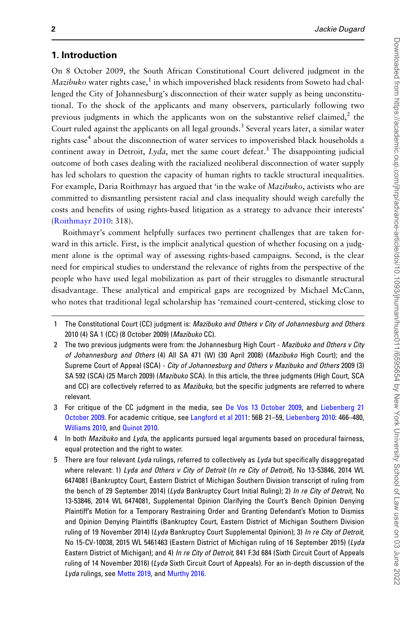## 1. Introduction

On 8 October 2009, the South African Constitutional Court delivered judgment in the *Mazibuko* water rights case,<sup>1</sup> in which impoverished black residents from Soweto had challenged the City of Johannesburg's disconnection of their water supply as being unconstitutional. To the shock of the applicants and many observers, particularly following two previous judgments in which the applicants won on the substantive relief claimed, $<sup>2</sup>$  the</sup> Court ruled against the applicants on all legal grounds.<sup>3</sup> Several years later, a similar water rights case<sup>4</sup> about the disconnection of water services to impoverished black households a continent away in Detroit,  $Lyda$ , met the same court defeat.<sup>5</sup> The disappointing judicial outcome of both cases dealing with the racialized neoliberal disconnection of water supply has led scholars to question the capacity of human rights to tackle structural inequalities. For example, Daria Roithmayr has argued that 'in the wake of *Mazibuko*, activists who are committed to dismantling persistent racial and class inequality should weigh carefully the costs and benefits of using rights-based litigation as a strategy to advance their interests' [\(Roithmayr 2010:](#page-21-0) 318).

Roithmayr's comment helpfully surfaces two pertinent challenges that are taken forward in this article. First, is the implicit analytical question of whether focusing on a judgment alone is the optimal way of assessing rights-based campaigns. Second, is the clear need for empirical studies to understand the relevance of rights from the perspective of the people who have used legal mobilization as part of their struggles to dismantle structural disadvantage. These analytical and empirical gaps are recognized by Michael McCann, who notes that traditional legal scholarship has 'remained court-centered, sticking close to

- 4 In both Mazibuko and Lyda, the applicants pursued legal arguments based on procedural fairness, equal protection and the right to water.
- 5 There are four relevant Lyda rulings, referred to collectively as Lyda but specifically disaggregated where relevant: 1) Lyda and Others v City of Detroit (In re City of Detroit), No 13-53846, 2014 WL 6474081 (Bankruptcy Court, Eastern District of Michigan Southern Division transcript of ruling from the bench of 29 September 2014) (Lyda Bankruptcy Court Initial Ruling); 2) In re City of Detroit, No 13-53846, 2014 WL 6474081, Supplemental Opinion Clarifying the Court's Bench Opinion Denying Plaintiff's Motion for a Temporary Restraining Order and Granting Defendant's Motion to Dismiss and Opinion Denying Plaintiffs (Bankruptcy Court, Eastern District of Michigan Southern Division ruling of 19 November 2014) (Lyda Bankruptcy Court Supplemental Opinion); 3) In re City of Detroit, No 15-CV-10038, 2015 WL 5461463 (Eastern District of Michigan ruling of 16 September 2015) (Lyda Eastern District of Michigan); and 4) In re City of Detroit, 841 F.3d 684 (Sixth Circuit Court of Appeals ruling of 14 November 2016) (Lyda Sixth Circuit Court of Appeals). For an in-depth discussion of the Lyda rulings, see [Mette 2019](#page-21-0), and [Murthy 2016](#page-21-0).

<sup>1</sup> The Constitutional Court (CC) judgment is: Mazibuko and Others v City of Johannesburg and Others 2010 (4) SA 1 (CC) (8 October 2009) (Mazibuko CC).

<sup>2</sup> The two previous judgments were from: the Johannesburg High Court - Mazibuko and Others v City of Johannesburg and Others (4) All SA 471 (W) (30 April 2008) (Mazibuko High Court); and the Supreme Court of Appeal (SCA) - City of Johannesburg and Others v Mazibuko and Others 2009 (3) SA 592 (SCA) (25 March 2009) (Mazibuko SCA). In this article, the three judgments (High Court, SCA and CC) are collectively referred to as *Mazibuko*, but the specific judgments are referred to where relevant.

<sup>3</sup> For critique of the CC judgment in the media, see [De Vos 13 October 2009,](#page-19-0) and [Liebenberg 21](#page-21-0) [October 2009](#page-21-0). For academic critique, see [Langford et al 2011](#page-20-0): 56B 21–59, [Liebenberg 2010:](#page-21-0) 466–480, [Williams 2010,](#page-22-0) and [Quinot 2010](#page-21-0).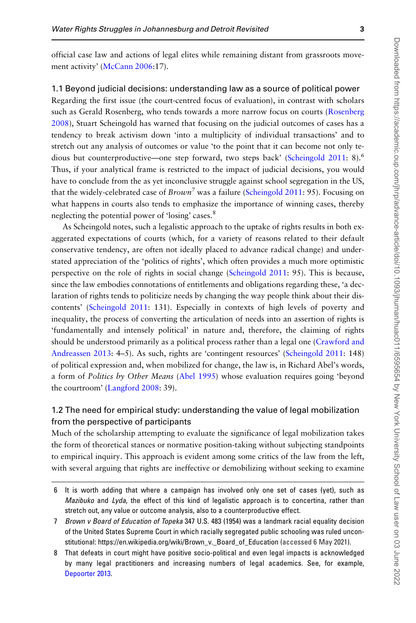official case law and actions of legal elites while remaining distant from grassroots move-ment activity' ([McCann 2006](#page-21-0):17).

#### 1.1 Beyond judicial decisions: understanding law as a source of political power

Regarding the first issue (the court-centred focus of evaluation), in contrast with scholars such as Gerald Rosenberg, who tends towards a more narrow focus on courts [\(Rosenberg](#page-21-0) [2008](#page-21-0)), Stuart Scheingold has warned that focusing on the judicial outcomes of cases has a tendency to break activism down 'into a multiplicity of individual transactions' and to stretch out any analysis of outcomes or value 'to the point that it can become not only te-dious but counterproductive—one step forward, two steps back' [\(Scheingold 2011](#page-21-0): 8).<sup>6</sup> Thus, if your analytical frame is restricted to the impact of judicial decisions, you would have to conclude from the as yet inconclusive struggle against school segregation in the US, that the widely-celebrated case of  $Brown^{7}$  was a failure [\(Scheingold 2011:](#page-21-0) 95). Focusing on what happens in courts also tends to emphasize the importance of winning cases, thereby neglecting the potential power of 'losing' cases.<sup>8</sup>

As Scheingold notes, such a legalistic approach to the uptake of rights results in both exaggerated expectations of courts (which, for a variety of reasons related to their default conservative tendency, are often not ideally placed to advance radical change) and understated appreciation of the 'politics of rights', which often provides a much more optimistic perspective on the role of rights in social change ([Scheingold 2011](#page-21-0): 95). This is because, since the law embodies connotations of entitlements and obligations regarding these, 'a declaration of rights tends to politicize needs by changing the way people think about their discontents' ([Scheingold 2011](#page-21-0): 131). Especially in contexts of high levels of poverty and inequality, the process of converting the articulation of needs into an assertion of rights is 'fundamentally and intensely political' in nature and, therefore, the claiming of rights should be understood primarily as a political process rather than a legal one [\(Crawford and](#page-19-0) [Andreassen 2013](#page-19-0): 4–5). As such, rights are 'contingent resources' ([Scheingold 2011](#page-21-0): 148) of political expression and, when mobilized for change, the law is, in Richard Abel's words, a form of Politics by Other Means ([Abel 1995](#page-19-0)) whose evaluation requires going 'beyond the courtroom' [\(Langford 2008](#page-20-0): 39).

## 1.2 The need for empirical study: understanding the value of legal mobilization from the perspective of participants

Much of the scholarship attempting to evaluate the significance of legal mobilization takes the form of theoretical stances or normative position-taking without subjecting standpoints to empirical inquiry. This approach is evident among some critics of the law from the left, with several arguing that rights are ineffective or demobilizing without seeking to examine

<sup>6</sup> It is worth adding that where a campaign has involved only one set of cases (yet), such as Mazibuko and Lyda, the effect of this kind of legalistic approach is to concertina, rather than stretch out, any value or outcome analysis, also to a counterproductive effect.

<sup>7</sup> Brown v Board of Education of Topeka 347 U.S. 483 (1954) was a landmark racial equality decision of the United States Supreme Court in which racially segregated public schooling was ruled unconstitutional: [https://en.wikipedia.org/wiki/Brown\\_v.\\_Board\\_of\\_Education](https://en.wikipedia.org/wiki/Brown_v._Board_of_Education) (accessed 6 May 2021).

<sup>8</sup> That defeats in court might have positive socio-political and even legal impacts is acknowledged by many legal practitioners and increasing numbers of legal academics. See, for example, [Depoorter 2013.](#page-19-0)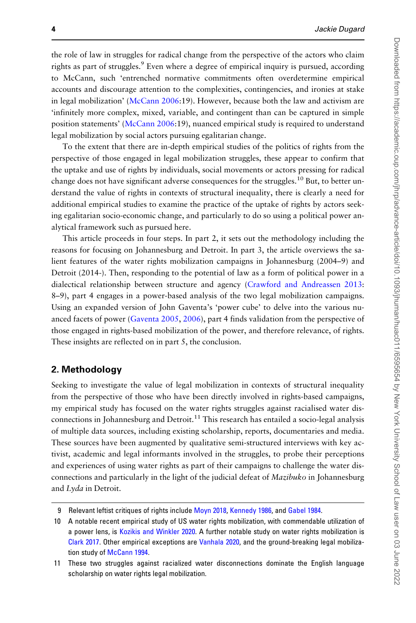the role of law in struggles for radical change from the perspective of the actors who claim rights as part of struggles.<sup>9</sup> Even where a degree of empirical inquiry is pursued, according to McCann, such 'entrenched normative commitments often overdetermine empirical accounts and discourage attention to the complexities, contingencies, and ironies at stake in legal mobilization' [\(McCann 2006:](#page-21-0)19). However, because both the law and activism are 'infinitely more complex, mixed, variable, and contingent than can be captured in simple position statements' ([McCann 2006:](#page-21-0)19), nuanced empirical study is required to understand legal mobilization by social actors pursuing egalitarian change.

To the extent that there are in-depth empirical studies of the politics of rights from the perspective of those engaged in legal mobilization struggles, these appear to confirm that the uptake and use of rights by individuals, social movements or actors pressing for radical change does not have significant adverse consequences for the struggles.<sup>10</sup> But, to better understand the value of rights in contexts of structural inequality, there is clearly a need for additional empirical studies to examine the practice of the uptake of rights by actors seeking egalitarian socio-economic change, and particularly to do so using a political power analytical framework such as pursued here.

This article proceeds in four steps. In part 2, it sets out the methodology including the reasons for focusing on Johannesburg and Detroit. In part 3, the article overviews the salient features of the water rights mobilization campaigns in Johannesburg (2004–9) and Detroit (2014-). Then, responding to the potential of law as a form of political power in a dialectical relationship between structure and agency [\(Crawford and Andreassen 2013](#page-19-0): 8–9), part 4 engages in a power-based analysis of the two legal mobilization campaigns. Using an expanded version of John Gaventa's 'power cube' to delve into the various nuanced facets of power ([Gaventa 2005](#page-20-0), [2006\)](#page-20-0), part 4 finds validation from the perspective of those engaged in rights-based mobilization of the power, and therefore relevance, of rights. These insights are reflected on in part 5, the conclusion.

## 2. Methodology

Seeking to investigate the value of legal mobilization in contexts of structural inequality from the perspective of those who have been directly involved in rights-based campaigns, my empirical study has focused on the water rights struggles against racialised water disconnections in Johannesburg and Detroit.<sup>11</sup> This research has entailed a socio-legal analysis of multiple data sources, including existing scholarship, reports, documentaries and media. These sources have been augmented by qualitative semi-structured interviews with key activist, academic and legal informants involved in the struggles, to probe their perceptions and experiences of using water rights as part of their campaigns to challenge the water disconnections and particularly in the light of the judicial defeat of *Mazibuko* in Johannesburg and Lyda in Detroit.

Relevant leftist critiques of rights include [Moyn 2018,](#page-21-0) [Kennedy 1986,](#page-20-0) and [Gabel 1984](#page-20-0).

<sup>10</sup> A notable recent empirical study of US water rights mobilization, with commendable utilization of a power lens, is [Kozikis and Winkler 2020.](#page-20-0) A further notable study on water rights mobilization is [Clark 2017.](#page-19-0) Other empirical exceptions are [Vanhala 2020,](#page-22-0) and the ground-breaking legal mobiliza-tion study of [McCann 1994](#page-21-0).

<sup>11</sup> These two struggles against racialized water disconnections dominate the English language scholarship on water rights legal mobilization.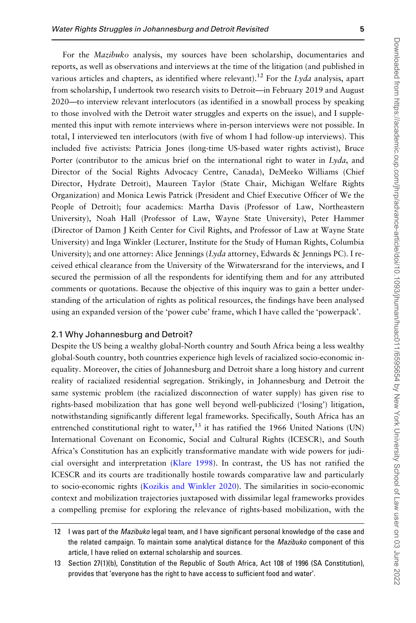Downloaded from https://academic.oup.com/jhrp/advance-article/doi/10.1093/jhuman/huac011/6595654 by New Yoey University School of Law user on 03 June 2022 Downloaded from https://academic.oup.com/jhrp/advance-article/doi/10.1093/jhuman/huac011/6595654 by New York University School of Law user on 03 June 2022

For the Mazibuko analysis, my sources have been scholarship, documentaries and reports, as well as observations and interviews at the time of the litigation (and published in various articles and chapters, as identified where relevant).<sup>12</sup> For the Lyda analysis, apart from scholarship, I undertook two research visits to Detroit—in February 2019 and August 2020—to interview relevant interlocutors (as identified in a snowball process by speaking to those involved with the Detroit water struggles and experts on the issue), and I supplemented this input with remote interviews where in-person interviews were not possible. In total, I interviewed ten interlocutors (with five of whom I had follow-up interviews). This included five activists: Patricia Jones (long-time US-based water rights activist), Bruce Porter (contributor to the amicus brief on the international right to water in  $Lyda$ , and Director of the Social Rights Advocacy Centre, Canada), DeMeeko Williams (Chief Director, Hydrate Detroit), Maureen Taylor (State Chair, Michigan Welfare Rights Organization) and Monica Lewis Patrick (President and Chief Executive Officer of We the People of Detroit); four academics: Martha Davis (Professor of Law, Northeastern University), Noah Hall (Professor of Law, Wayne State University), Peter Hammer (Director of Damon J Keith Center for Civil Rights, and Professor of Law at Wayne State University) and Inga Winkler (Lecturer, Institute for the Study of Human Rights, Columbia University); and one attorney: Alice Jennings (Lyda attorney, Edwards & Jennings PC). I received ethical clearance from the University of the Witwatersrand for the interviews, and I secured the permission of all the respondents for identifying them and for any attributed comments or quotations. Because the objective of this inquiry was to gain a better understanding of the articulation of rights as political resources, the findings have been analysed using an expanded version of the 'power cube' frame, which I have called the 'powerpack'.

#### 2.1 Why Johannesburg and Detroit?

Despite the US being a wealthy global-North country and South Africa being a less wealthy global-South country, both countries experience high levels of racialized socio-economic inequality. Moreover, the cities of Johannesburg and Detroit share a long history and current reality of racialized residential segregation. Strikingly, in Johannesburg and Detroit the same systemic problem (the racialized disconnection of water supply) has given rise to rights-based mobilization that has gone well beyond well-publicized ('losing') litigation, notwithstanding significantly different legal frameworks. Specifically, South Africa has an entrenched constitutional right to water, $^{13}$  it has ratified the 1966 United Nations (UN) International Covenant on Economic, Social and Cultural Rights (ICESCR), and South Africa's Constitution has an explicitly transformative mandate with wide powers for judicial oversight and interpretation [\(Klare 1998\)](#page-20-0). In contrast, the US has not ratified the ICESCR and its courts are traditionally hostile towards comparative law and particularly to socio-economic rights [\(Kozikis and Winkler 2020\)](#page-20-0). The similarities in socio-economic context and mobilization trajectories juxtaposed with dissimilar legal frameworks provides a compelling premise for exploring the relevance of rights-based mobilization, with the

<sup>12</sup> I was part of the Mazibuko legal team, and I have significant personal knowledge of the case and the related campaign. To maintain some analytical distance for the Mazibuko component of this article, I have relied on external scholarship and sources.

<sup>13</sup> Section 27(1)(b), Constitution of the Republic of South Africa, Act 108 of 1996 (SA Constitution), provides that 'everyone has the right to have access to sufficient food and water'.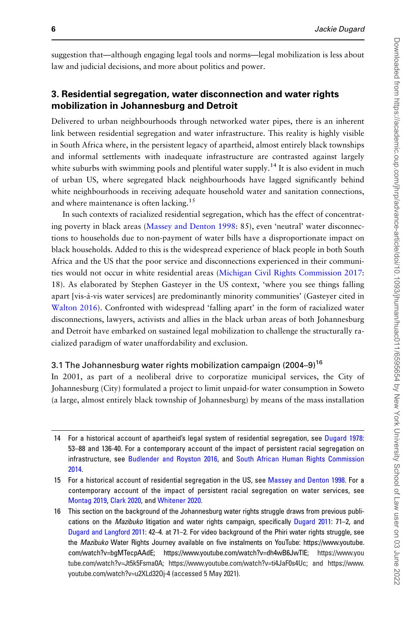suggestion that—although engaging legal tools and norms—legal mobilization is less about law and judicial decisions, and more about politics and power.

# 3. Residential segregation, water disconnection and water rights mobilization in Johannesburg and Detroit

Delivered to urban neighbourhoods through networked water pipes, there is an inherent link between residential segregation and water infrastructure. This reality is highly visible in South Africa where, in the persistent legacy of apartheid, almost entirely black townships and informal settlements with inadequate infrastructure are contrasted against largely white suburbs with swimming pools and plentiful water supply.<sup>14</sup> It is also evident in much of urban US, where segregated black neighbourhoods have lagged significantly behind white neighbourhoods in receiving adequate household water and sanitation connections, and where maintenance is often lacking.<sup>15</sup>

In such contexts of racialized residential segregation, which has the effect of concentrating poverty in black areas ([Massey and Denton 1998:](#page-21-0) 85), even 'neutral' water disconnections to households due to non-payment of water bills have a disproportionate impact on black households. Added to this is the widespread experience of black people in both South Africa and the US that the poor service and disconnections experienced in their communities would not occur in white residential areas [\(Michigan Civil Rights Commission 2017](#page-21-0): 18). As elaborated by Stephen Gasteyer in the US context, 'where you see things falling apart [vis-a`-vis water services] are predominantly minority communities' (Gasteyer cited in [Walton 2016\)](#page-22-0). Confronted with widespread 'falling apart' in the form of racialized water disconnections, lawyers, activists and allies in the black urban areas of both Johannesburg and Detroit have embarked on sustained legal mobilization to challenge the structurally racialized paradigm of water unaffordability and exclusion.

#### 3.1 The Johannesburg water rights mobilization campaign (2004–9)<sup>16</sup>

In 2001, as part of a neoliberal drive to corporatize municipal services, the City of Johannesburg (City) formulated a project to limit unpaid-for water consumption in Soweto (a large, almost entirely black township of Johannesburg) by means of the mass installation

<sup>14</sup> For a historical account of apartheid's legal system of residential segregation, see [Dugard 1978:](#page-19-0) 53–88 and 136-40. For a contemporary account of the impact of persistent racial segregation on infrastructure, see [Budlender and Royston 2016](#page-19-0), and [South African Human Rights Commission](#page-22-0) [2014.](#page-22-0)

<sup>15</sup> For a historical account of residential segregation in the US, see [Massey and Denton 1998.](#page-21-0) For a contemporary account of the impact of persistent racial segregation on water services, see [Montag 2019,](#page-21-0) [Clark 2020](#page-19-0), and [Whitener 2020.](#page-22-0)

<sup>16</sup> This section on the background of the Johannesburg water rights struggle draws from previous publi-cations on the Mazibuko litigation and water rights campaign, specifically [Dugard 2011](#page-19-0): 71-2, and [Dugard and Langford 2011](#page-20-0): 42–4. at 71–2. For video background of the Phiri water rights struggle, see the Mazibuko Water Rights Journey available on five instalments on YouTube: [https://www.youtube.](https://www.youtube.com/watch?v=bgMTecpAAdE; https://www.youtube.com/watch?v=dh4wB6JwTlE) [com/watch?v=bgMTecpAAdE; https://www.youtube.com/watch?v=dh4wB6JwTlE](https://www.youtube.com/watch?v=bgMTecpAAdE; https://www.youtube.com/watch?v=dh4wB6JwTlE); [https://www.you](https://www.youtube.com/watch?v=Jt5k5Fsma0A) [tube.com/watch?v=Jt5k5Fsma0A;](https://www.youtube.com/watch?v=Jt5k5Fsma0A) [https://www.youtube.com/watch?v=ti4JaF0s4Uc;](https://www.youtube.com/watch?v=ti4JaF0s4Uc) and [https://www.](https://www.youtube.com/watch?v=u2XLd32Oj-4) [youtube.com/watch?v=u2XLd32Oj-4](https://www.youtube.com/watch?v=u2XLd32Oj-4) (accessed 5 May 2021).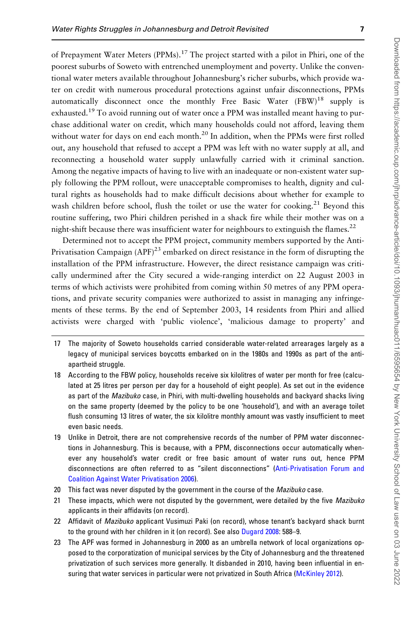of Prepayment Water Meters (PPMs).<sup>17</sup> The project started with a pilot in Phiri, one of the poorest suburbs of Soweto with entrenched unemployment and poverty. Unlike the conventional water meters available throughout Johannesburg's richer suburbs, which provide water on credit with numerous procedural protections against unfair disconnections, PPMs automatically disconnect once the monthly Free Basic Water  $(FBW)^{18}$  supply is exhausted.<sup>19</sup> To avoid running out of water once a PPM was installed meant having to purchase additional water on credit, which many households could not afford, leaving them without water for days on end each month.<sup>20</sup> In addition, when the PPMs were first rolled out, any household that refused to accept a PPM was left with no water supply at all, and reconnecting a household water supply unlawfully carried with it criminal sanction. Among the negative impacts of having to live with an inadequate or non-existent water supply following the PPM rollout, were unacceptable compromises to health, dignity and cultural rights as households had to make difficult decisions about whether for example to wash children before school, flush the toilet or use the water for cooking.<sup>21</sup> Beyond this routine suffering, two Phiri children perished in a shack fire while their mother was on a night-shift because there was insufficient water for neighbours to extinguish the flames.<sup>22</sup>

Determined not to accept the PPM project, community members supported by the Anti-Privatisation Campaign  $(APF)^{23}$  embarked on direct resistance in the form of disrupting the installation of the PPM infrastructure. However, the direct resistance campaign was critically undermined after the City secured a wide-ranging interdict on 22 August 2003 in terms of which activists were prohibited from coming within 50 metres of any PPM operations, and private security companies were authorized to assist in managing any infringements of these terms. By the end of September 2003, 14 residents from Phiri and allied activists were charged with 'public violence', 'malicious damage to property' and

- 17 The majority of Soweto households carried considerable water-related arrearages largely as a legacy of municipal services boycotts embarked on in the 1980s and 1990s as part of the antiapartheid struggle.
- 18 According to the FBW policy, households receive six kilolitres of water per month for free (calculated at 25 litres per person per day for a household of eight people). As set out in the evidence as part of the Mazibuko case, in Phiri, with multi-dwelling households and backyard shacks living on the same property (deemed by the policy to be one 'household'), and with an average toilet flush consuming 13 litres of water, the six kilolitre monthly amount was vastly insufficient to meet even basic needs.
- 19 Unlike in Detroit, there are not comprehensive records of the number of PPM water disconnections in Johannesburg. This is because, with a PPM, disconnections occur automatically whenever any household's water credit or free basic amount of water runs out, hence PPM disconnections are often referred to as "silent disconnections" [\(Anti-Privatisation Forum and](#page-19-0) [Coalition Against Water Privatisation 2006\)](#page-19-0).
- 20 This fact was never disputed by the government in the course of the Mazibuko case.
- 21 These impacts, which were not disputed by the government, were detailed by the five Mazibuko applicants in their affidavits (on record).
- 22 Affidavit of Mazibuko applicant Vusimuzi Paki (on record), whose tenant's backyard shack burnt to the ground with her children in it (on record). See also [Dugard 2008:](#page-19-0) 588–9.
- 23 The APF was formed in Johannesburg in 2000 as an umbrella network of local organizations opposed to the corporatization of municipal services by the City of Johannesburg and the threatened privatization of such services more generally. It disbanded in 2010, having been influential in en-suring that water services in particular were not privatized in South Africa [\(McKinley 2012](#page-21-0)).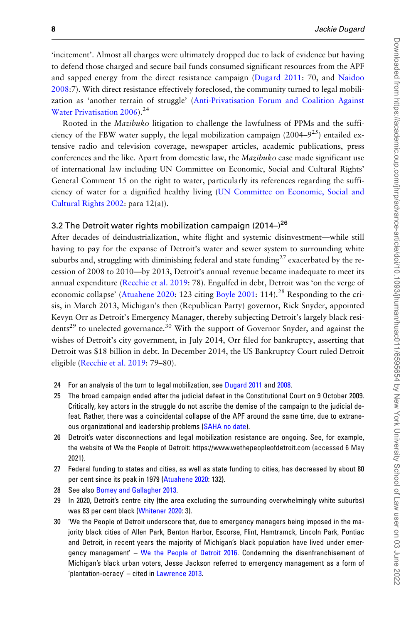'incitement'. Almost all charges were ultimately dropped due to lack of evidence but having to defend those charged and secure bail funds consumed significant resources from the APF and sapped energy from the direct resistance campaign ([Dugard 2011](#page-19-0): 70, and [Naidoo](#page-21-0) [2008](#page-21-0):7). With direct resistance effectively foreclosed, the community turned to legal mobilization as 'another terrain of struggle' ([Anti-Privatisation Forum and Coalition Against](#page-19-0) [Water Privatisation 2006](#page-19-0)).<sup>24</sup>

Rooted in the Mazibuko litigation to challenge the lawfulness of PPMs and the sufficiency of the FBW water supply, the legal mobilization campaign  $(2004-9^{25})$  entailed extensive radio and television coverage, newspaper articles, academic publications, press conferences and the like. Apart from domestic law, the Mazibuko case made significant use of international law including UN Committee on Economic, Social and Cultural Rights' General Comment 15 on the right to water, particularly its references regarding the sufficiency of water for a dignified healthy living [\(UN Committee on Economic, Social and](#page-22-0) [Cultural Rights 2002:](#page-22-0) para 12(a)).

### 3.2 The Detroit water rights mobilization campaign (2014–) $^{26}$

After decades of deindustrialization, white flight and systemic disinvestment—while still having to pay for the expanse of Detroit's water and sewer system to surrounding white suburbs and, struggling with diminishing federal and state funding<sup>27</sup> exacerbated by the recession of 2008 to 2010—by 2013, Detroit's annual revenue became inadequate to meet its annual expenditure [\(Recchie et al. 2019:](#page-21-0) 78). Engulfed in debt, Detroit was 'on the verge of economic collapse' [\(Atuahene 2020](#page-19-0): 123 citing [Boyle 2001:](#page-19-0) 114).<sup>28</sup> Responding to the crisis, in March 2013, Michigan's then (Republican Party) governor, Rick Snyder, appointed Kevyn Orr as Detroit's Emergency Manager, thereby subjecting Detroit's largely black residents<sup>29</sup> to unelected governance.<sup>30</sup> With the support of Governor Snyder, and against the wishes of Detroit's city government, in July 2014, Orr filed for bankruptcy, asserting that Detroit was \$18 billion in debt. In December 2014, the US Bankruptcy Court ruled Detroit eligible ([Recchie et al. 2019:](#page-21-0) 79–80).

<sup>24</sup> For an analysis of the turn to legal mobilization, see [Dugard 2011](#page-19-0) and [2008](#page-19-0).

<sup>25</sup> The broad campaign ended after the judicial defeat in the Constitutional Court on 9 October 2009. Critically, key actors in the struggle do not ascribe the demise of the campaign to the judicial defeat. Rather, there was a coincidental collapse of the APF around the same time, due to extraneous organizational and leadership problems ([SAHA no date](#page-21-0)).

<sup>26</sup> Detroit's water disconnections and legal mobilization resistance are ongoing. See, for example, the website of We the People of Detroit: [https://www.wethepeopleofdetroit.com](https://www.wethepeopleofdetroit.com ) (accessed 6 May 2021).

<sup>27</sup> Federal funding to states and cities, as well as state funding to cities, has decreased by about 80 per cent since its peak in 1979 [\(Atuahene 2020](#page-19-0): 132).

<sup>28</sup> See also [Bomey and Gallagher 2013.](#page-19-0)

<sup>29</sup> In 2020, Detroit's centre city (the area excluding the surrounding overwhelmingly white suburbs) was 83 per cent black [\(Whitener 2020](#page-22-0): 3).

<sup>30 &#</sup>x27;We the People of Detroit underscore that, due to emergency managers being imposed in the majority black cities of Allen Park, Benton Harbor, Escorse, Flint, Hamtramck, Lincoln Park, Pontiac and Detroit, in recent years the majority of Michigan's black population have lived under emergency management' – [We the People of Detroit 2016.](#page-22-0) Condemning the disenfranchisement of Michigan's black urban voters, Jesse Jackson referred to emergency management as a form of 'plantation-ocracy' – cited in [Lawrence 2013.](#page-20-0)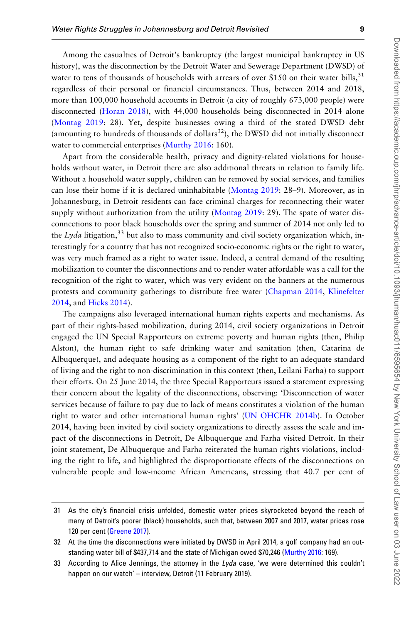Among the casualties of Detroit's bankruptcy (the largest municipal bankruptcy in US history), was the disconnection by the Detroit Water and Sewerage Department (DWSD) of water to tens of thousands of households with arrears of over \$150 on their water bills,  $31$ regardless of their personal or financial circumstances. Thus, between 2014 and 2018, more than 100,000 household accounts in Detroit (a city of roughly 673,000 people) were disconnected ([Horan 2018](#page-20-0)), with 44,000 households being disconnected in 2014 alone [\(Montag 2019](#page-21-0): 28). Yet, despite businesses owing a third of the stated DWSD debt (amounting to hundreds of thousands of dollars $32$ ), the DWSD did not initially disconnect water to commercial enterprises ([Murthy 2016](#page-21-0): 160).

Apart from the considerable health, privacy and dignity-related violations for households without water, in Detroit there are also additional threats in relation to family life. Without a household water supply, children can be removed by social services, and families can lose their home if it is declared uninhabitable ([Montag 2019:](#page-21-0) 28–9). Moreover, as in Johannesburg, in Detroit residents can face criminal charges for reconnecting their water supply without authorization from the utility ([Montag 2019:](#page-21-0) 29). The spate of water disconnections to poor black households over the spring and summer of 2014 not only led to the Lyda litigation,<sup>33</sup> but also to mass community and civil society organization which, interestingly for a country that has not recognized socio-economic rights or the right to water, was very much framed as a right to water issue. Indeed, a central demand of the resulting mobilization to counter the disconnections and to render water affordable was a call for the recognition of the right to water, which was very evident on the banners at the numerous protests and community gatherings to distribute free water [\(Chapman 2014](#page-19-0), [Klinefelter](#page-20-0) [2014](#page-20-0), and [Hicks 2014\)](#page-20-0).

The campaigns also leveraged international human rights experts and mechanisms. As part of their rights-based mobilization, during 2014, civil society organizations in Detroit engaged the UN Special Rapporteurs on extreme poverty and human rights (then, Philip Alston), the human right to safe drinking water and sanitation (then, Catarina de Albuquerque), and adequate housing as a component of the right to an adequate standard of living and the right to non-discrimination in this context (then, Leilani Farha) to support their efforts. On 25 June 2014, the three Special Rapporteurs issued a statement expressing their concern about the legality of the disconnections, observing: 'Disconnection of water services because of failure to pay due to lack of means constitutes a violation of the human right to water and other international human rights' [\(UN OHCHR 2014b\)](#page-22-0). In October 2014, having been invited by civil society organizations to directly assess the scale and impact of the disconnections in Detroit, De Albuquerque and Farha visited Detroit. In their joint statement, De Albuquerque and Farha reiterated the human rights violations, including the right to life, and highlighted the disproportionate effects of the disconnections on vulnerable people and low-income African Americans, stressing that 40.7 per cent of

<sup>31</sup> As the city's financial crisis unfolded, domestic water prices skyrocketed beyond the reach of many of Detroit's poorer (black) households, such that, between 2007 and 2017, water prices rose 120 per cent [\(Greene 2017](#page-20-0)).

<sup>32</sup> At the time the disconnections were initiated by DWSD in April 2014, a golf company had an outstanding water bill of \$437,714 and the state of Michigan owed \$70,246 ([Murthy 2016:](#page-21-0) 169).

<sup>33</sup> According to Alice Jennings, the attorney in the Lyda case, 'we were determined this couldn't happen on our watch' – interview, Detroit (11 February 2019).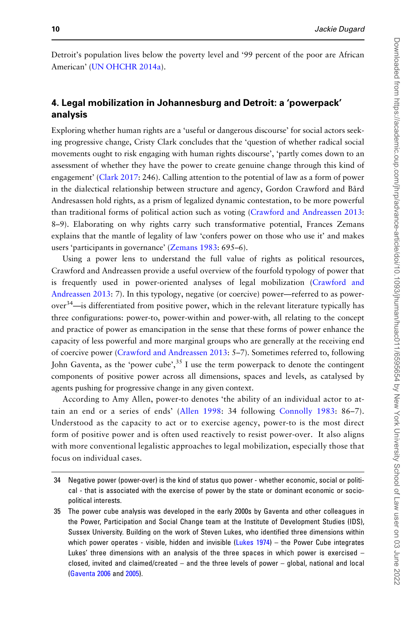Detroit's population lives below the poverty level and '99 percent of the poor are African American' [\(UN OHCHR 2014a](#page-22-0)).

## 4. Legal mobilization in Johannesburg and Detroit: a 'powerpack' analysis

Exploring whether human rights are a 'useful or dangerous discourse' for social actors seeking progressive change, Cristy Clark concludes that the 'question of whether radical social movements ought to risk engaging with human rights discourse', 'partly comes down to an assessment of whether they have the power to create genuine change through this kind of engagement' [\(Clark 2017:](#page-19-0) 246). Calling attention to the potential of law as a form of power in the dialectical relationship between structure and agency, Gordon Crawford and Bård Andresassen hold rights, as a prism of legalized dynamic contestation, to be more powerful than traditional forms of political action such as voting ([Crawford and Andreassen 2013](#page-19-0): 8–9). Elaborating on why rights carry such transformative potential, Frances Zemans explains that the mantle of legality of law 'confers power on those who use it' and makes users 'participants in governance' [\(Zemans 1983](#page-22-0): 695–6).

Using a power lens to understand the full value of rights as political resources, Crawford and Andreassen provide a useful overview of the fourfold typology of power that is frequently used in power-oriented analyses of legal mobilization ([Crawford and](#page-19-0) [Andreassen 2013:](#page-19-0) 7). In this typology, negative (or coercive) power—referred to as power $over<sup>34</sup>$ —is differentiated from positive power, which in the relevant literature typically has three configurations: power-to, power-within and power-with, all relating to the concept and practice of power as emancipation in the sense that these forms of power enhance the capacity of less powerful and more marginal groups who are generally at the receiving end of coercive power ([Crawford and Andreassen 2013:](#page-19-0) 5–7). Sometimes referred to, following John Gaventa, as the 'power cube',  $35$  I use the term powerpack to denote the contingent components of positive power across all dimensions, spaces and levels, as catalysed by agents pushing for progressive change in any given context.

According to Amy Allen, power-to denotes 'the ability of an individual actor to attain an end or a series of ends' [\(Allen 1998](#page-19-0): 34 following [Connolly 1983](#page-19-0): 86–7). Understood as the capacity to act or to exercise agency, power-to is the most direct form of positive power and is often used reactively to resist power-over. It also aligns with more conventional legalistic approaches to legal mobilization, especially those that focus on individual cases.

<sup>34</sup> Negative power (power-over) is the kind of status quo power - whether economic, social or political - that is associated with the exercise of power by the state or dominant economic or sociopolitical interests.

<sup>35</sup> The power cube analysis was developed in the early 2000s by Gaventa and other colleagues in the Power, Participation and Social Change team at the Institute of Development Studies (IDS), Sussex University. Building on the work of Steven Lukes, who identified three dimensions within which power operates - visible, hidden and invisible [\(Lukes 1974\)](#page-21-0) – the Power Cube integrates Lukes' three dimensions with an analysis of the three spaces in which power is exercised – closed, invited and claimed/created – and the three levels of power – global, national and local ([Gaventa 2006](#page-20-0) and [2005](#page-20-0)).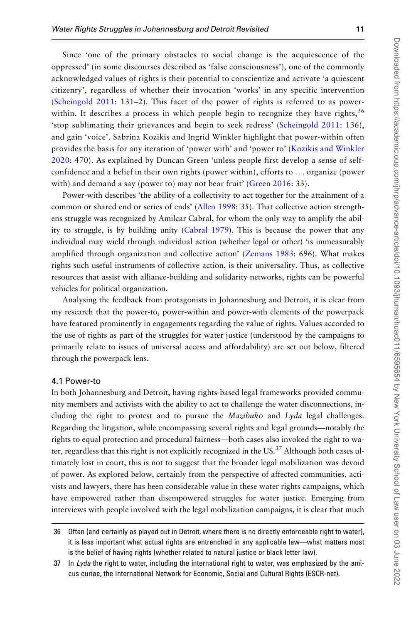Since 'one of the primary obstacles to social change is the acquiescence of the oppressed' (in some discourses described as 'false consciousness'), one of the commonly acknowledged values of rights is their potential to conscientize and activate 'a quiescent citizenry', regardless of whether their invocation 'works' in any specific intervention ([Scheingold 2011](#page-21-0): 131–2). This facet of the power of rights is referred to as powerwithin. It describes a process in which people begin to recognize they have rights,  $3<sup>6</sup>$ 'stop sublimating their grievances and begin to seek redress' [\(Scheingold 2011:](#page-21-0) 136), and gain 'voice'. Sabrina Kozikis and Ingrid Winkler highlight that power-within often provides the basis for any iteration of 'power with' and 'power to' ([Kozikis and Winkler](#page-20-0) [2020](#page-20-0): 470). As explained by Duncan Green 'unless people first develop a sense of selfconfidence and a belief in their own rights (power within), efforts to ... organize (power with) and demand a say (power to) may not bear fruit' ([Green 2016:](#page-20-0) 33).

Power-with describes 'the ability of a collectivity to act together for the attainment of a common or shared end or series of ends' ([Allen 1998:](#page-19-0) 35). That collective action strengthens struggle was recognized by Amilcar Cabral, for whom the only way to amplify the ability to struggle, is by building unity ([Cabral 1979](#page-19-0)). This is because the power that any individual may wield through individual action (whether legal or other) 'is immeasurably amplified through organization and collective action' ([Zemans 1983](#page-22-0): 696). What makes rights such useful instruments of collective action, is their universality. Thus, as collective resources that assist with alliance-building and solidarity networks, rights can be powerful vehicles for political organization.

Analysing the feedback from protagonists in Johannesburg and Detroit, it is clear from my research that the power-to, power-within and power-with elements of the powerpack have featured prominently in engagements regarding the value of rights. Values accorded to the use of rights as part of the struggles for water justice (understood by the campaigns to primarily relate to issues of universal access and affordability) are set out below, filtered through the powerpack lens.

#### 4.1 Power-to

In both Johannesburg and Detroit, having rights-based legal frameworks provided community members and activists with the ability to act to challenge the water disconnections, including the right to protest and to pursue the  $Mazibuko$  and  $Lyda$  legal challenges. Regarding the litigation, while encompassing several rights and legal grounds—notably the rights to equal protection and procedural fairness—both cases also invoked the right to water, regardless that this right is not explicitly recognized in the US.<sup>37</sup> Although both cases ultimately lost in court, this is not to suggest that the broader legal mobilization was devoid of power. As explored below, certainly from the perspective of affected communities, activists and lawyers, there has been considerable value in these water rights campaigns, which have empowered rather than disempowered struggles for water justice. Emerging from interviews with people involved with the legal mobilization campaigns, it is clear that much

36 Often (and certainly as played out in Detroit, where there is no directly enforceable right to water), it is less important what actual rights are entrenched in any applicable law—what matters most is the belief of having rights (whether related to natural justice or black letter law).

37 In Lyda the right to water, including the international right to water, was emphasized by the amicus curiae, the International Network for Economic, Social and Cultural Rights (ESCR-net).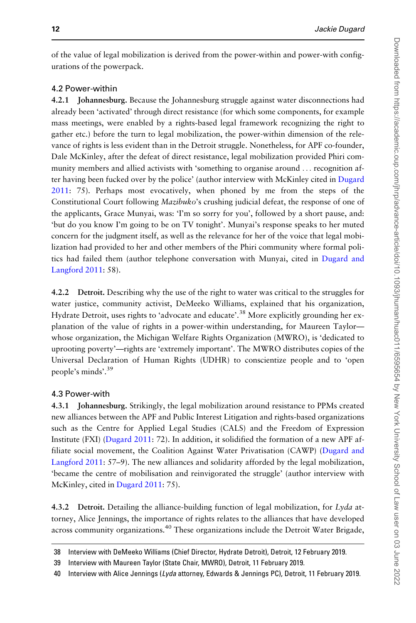of the value of legal mobilization is derived from the power-within and power-with configurations of the powerpack.

## 4.2 Power-within

4.2.1 Johannesburg. Because the Johannesburg struggle against water disconnections had already been 'activated' through direct resistance (for which some components, for example mass meetings, were enabled by a rights-based legal framework recognizing the right to gather etc.) before the turn to legal mobilization, the power-within dimension of the relevance of rights is less evident than in the Detroit struggle. Nonetheless, for APF co-founder, Dale McKinley, after the defeat of direct resistance, legal mobilization provided Phiri community members and allied activists with 'something to organise around ... recognition after having been fucked over by the police' (author interview with McKinley cited in [Dugard](#page-19-0) [2011](#page-19-0): 75). Perhaps most evocatively, when phoned by me from the steps of the Constitutional Court following Mazibuko's crushing judicial defeat, the response of one of the applicants, Grace Munyai, was: 'I'm so sorry for you', followed by a short pause, and: 'but do you know I'm going to be on TV tonight'. Munyai's response speaks to her muted concern for the judgment itself, as well as the relevance for her of the voice that legal mobilization had provided to her and other members of the Phiri community where formal politics had failed them (author telephone conversation with Munyai, cited in [Dugard and](#page-19-0) [Langford 2011](#page-19-0): 58).

4.2.2 Detroit. Describing why the use of the right to water was critical to the struggles for water justice, community activist, DeMeeko Williams, explained that his organization, Hydrate Detroit, uses rights to 'advocate and educate'.<sup>38</sup> More explicitly grounding her explanation of the value of rights in a power-within understanding, for Maureen Taylor whose organization, the Michigan Welfare Rights Organization (MWRO), is 'dedicated to uprooting poverty'—rights are 'extremely important'. The MWRO distributes copies of the Universal Declaration of Human Rights (UDHR) to conscientize people and to 'open people's minds'.39

## 4.3 Power-with

4.3.1 Johannesburg. Strikingly, the legal mobilization around resistance to PPMs created new alliances between the APF and Public Interest Litigation and rights-based organizations such as the Centre for Applied Legal Studies (CALS) and the Freedom of Expression Institute (FXI) [\(Dugard 2011](#page-19-0): 72). In addition, it solidified the formation of a new APF affiliate social movement, the Coalition Against Water Privatisation (CAWP) ([Dugard and](#page-19-0) [Langford 2011:](#page-19-0) 57–9). The new alliances and solidarity afforded by the legal mobilization, 'became the centre of mobilisation and reinvigorated the struggle' (author interview with McKinley, cited in [Dugard 2011:](#page-19-0) 75).

4.3.2 Detroit. Detailing the alliance-building function of legal mobilization, for Lyda attorney, Alice Jennings, the importance of rights relates to the alliances that have developed across community organizations.<sup>40</sup> These organizations include the Detroit Water Brigade,

<sup>38</sup> Interview with DeMeeko Williams (Chief Director, Hydrate Detroit), Detroit, 12 February 2019.

<sup>39</sup> Interview with Maureen Taylor (State Chair, MWRO), Detroit, 11 February 2019.

<sup>40</sup> Interview with Alice Jennings (Lyda attorney, Edwards & Jennings PC), Detroit, 11 February 2019.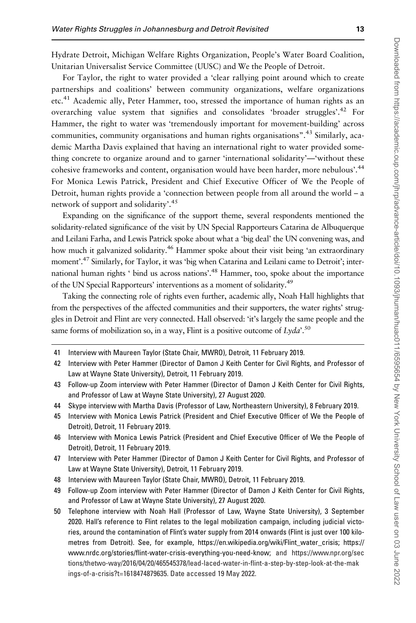Hydrate Detroit, Michigan Welfare Rights Organization, People's Water Board Coalition, Unitarian Universalist Service Committee (UUSC) and We the People of Detroit.

For Taylor, the right to water provided a 'clear rallying point around which to create partnerships and coalitions' between community organizations, welfare organizations etc.<sup>41</sup> Academic ally, Peter Hammer, too, stressed the importance of human rights as an overarching value system that signifies and consolidates 'broader struggles'.<sup>42</sup> For Hammer, the right to water was 'tremendously important for movement-building' across communities, community organisations and human rights organisations".<sup>43</sup> Similarly, academic Martha Davis explained that having an international right to water provided something concrete to organize around and to garner 'international solidarity'—'without these cohesive frameworks and content, organisation would have been harder, more nebulous'.<sup>44</sup> For Monica Lewis Patrick, President and Chief Executive Officer of We the People of Detroit, human rights provide a 'connection between people from all around the world – a network of support and solidarity'.<sup>45</sup>

Expanding on the significance of the support theme, several respondents mentioned the solidarity-related significance of the visit by UN Special Rapporteurs Catarina de Albuquerque and Leilani Farha, and Lewis Patrick spoke about what a 'big deal' the UN convening was, and how much it galvanized solidarity.<sup>46</sup> Hammer spoke about their visit being 'an extraordinary moment'.<sup>47</sup> Similarly, for Taylor, it was 'big when Catarina and Leilani came to Detroit'; international human rights ' bind us across nations'.<sup>48</sup> Hammer, too, spoke about the importance of the UN Special Rapporteurs' interventions as a moment of solidarity.49

Taking the connecting role of rights even further, academic ally, Noah Hall highlights that from the perspectives of the affected communities and their supporters, the water rights' struggles in Detroit and Flint are very connected. Hall observed: 'it's largely the same people and the same forms of mobilization so, in a way, Flint is a positive outcome of  $Lyda$ <sup>'.50</sup>

- 41 Interview with Maureen Taylor (State Chair, MWRO), Detroit, 11 February 2019.
- 42 Interview with Peter Hammer (Director of Damon J Keith Center for Civil Rights, and Professor of Law at Wayne State University), Detroit, 11 February 2019.
- 43 Follow-up Zoom interview with Peter Hammer (Director of Damon J Keith Center for Civil Rights, and Professor of Law at Wayne State University), 27 August 2020.
- 44 Skype interview with Martha Davis (Professor of Law, Northeastern University), 8 February 2019.
- 45 Interview with Monica Lewis Patrick (President and Chief Executive Officer of We the People of Detroit), Detroit, 11 February 2019.
- 46 Interview with Monica Lewis Patrick (President and Chief Executive Officer of We the People of Detroit), Detroit, 11 February 2019.
- 47 Interview with Peter Hammer (Director of Damon J Keith Center for Civil Rights, and Professor of Law at Wayne State University), Detroit, 11 February 2019.
- 48 Interview with Maureen Taylor (State Chair, MWRO), Detroit, 11 February 2019.
- 49 Follow-up Zoom interview with Peter Hammer (Director of Damon J Keith Center for Civil Rights, and Professor of Law at Wayne State University), 27 August 2020.
- 50 Telephone interview with Noah Hall (Professor of Law, Wayne State University), 3 September 2020. Hall's reference to Flint relates to the legal mobilization campaign, including judicial victories, around the contamination of Flint's water supply from 2014 onwards (Flint is just over 100 kilometres from Detroit). See, for example, [https://en.wikipedia.org/wiki/Flint\\_water\\_crisis; https://](https://en.wikipedia.org/wiki/Flint_water_crisis; https://www.nrdc.org/stories/flint-water-crisis-everything-you-need-know) [www.nrdc.org/stories/flint-water-crisis-everything-you-need-know;](https://en.wikipedia.org/wiki/Flint_water_crisis; https://www.nrdc.org/stories/flint-water-crisis-everything-you-need-know) and [https://www.npr.org/sec](https://www.npr.org/sections/thetwo-way/2016/04/20/465545378/lead-laced-water-in-flint-a-step-by-step-look-at-the-makings-of-a-crisis?t=1618474879635) [tions/thetwo-way/2016/04/20/465545378/lead-laced-water-in-flint-a-step-by-step-look-at-the-mak](https://www.npr.org/sections/thetwo-way/2016/04/20/465545378/lead-laced-water-in-flint-a-step-by-step-look-at-the-makings-of-a-crisis?t=1618474879635) [ings-of-a-crisis?t=1618474879635.](https://www.npr.org/sections/thetwo-way/2016/04/20/465545378/lead-laced-water-in-flint-a-step-by-step-look-at-the-makings-of-a-crisis?t=1618474879635) Date accessed 19 May 2022.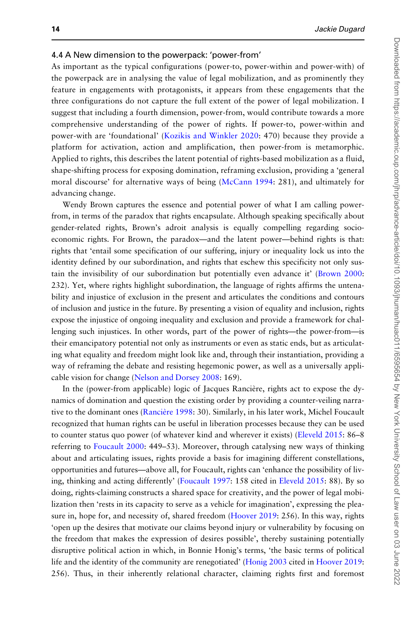#### 4.4 A New dimension to the powerpack: 'power-from'

As important as the typical configurations (power-to, power-within and power-with) of the powerpack are in analysing the value of legal mobilization, and as prominently they feature in engagements with protagonists, it appears from these engagements that the three configurations do not capture the full extent of the power of legal mobilization. I suggest that including a fourth dimension, power-from, would contribute towards a more comprehensive understanding of the power of rights. If power-to, power-within and power-with are 'foundational' ([Kozikis and Winkler 2020](#page-20-0): 470) because they provide a platform for activation, action and amplification, then power-from is metamorphic. Applied to rights, this describes the latent potential of rights-based mobilization as a fluid, shape-shifting process for exposing domination, reframing exclusion, providing a 'general moral discourse' for alternative ways of being ([McCann 1994](#page-21-0): 281), and ultimately for advancing change.

Wendy Brown captures the essence and potential power of what I am calling powerfrom, in terms of the paradox that rights encapsulate. Although speaking specifically about gender-related rights, Brown's adroit analysis is equally compelling regarding socioeconomic rights. For Brown, the paradox—and the latent power—behind rights is that: rights that 'entail some specification of our suffering, injury or inequality lock us into the identity defined by our subordination, and rights that eschew this specificity not only sustain the invisibility of our subordination but potentially even advance it' [\(Brown 2000](#page-19-0): 232). Yet, where rights highlight subordination, the language of rights affirms the untenability and injustice of exclusion in the present and articulates the conditions and contours of inclusion and justice in the future. By presenting a vision of equality and inclusion, rights expose the injustice of ongoing inequality and exclusion and provide a framework for challenging such injustices. In other words, part of the power of rights—the power-from—is their emancipatory potential not only as instruments or even as static ends, but as articulating what equality and freedom might look like and, through their instantiation, providing a way of reframing the debate and resisting hegemonic power, as well as a universally applicable vision for change ([Nelson and Dorsey 2008:](#page-21-0) 169).

In the (power-from applicable) logic of Jacques Rancière, rights act to expose the dynamics of domination and question the existing order by providing a counter-veiling narrative to the dominant ones (Rancière 1998: 30). Similarly, in his later work, Michel Foucault recognized that human rights can be useful in liberation processes because they can be used to counter status quo power (of whatever kind and wherever it exists) ([Eleveld 2015](#page-20-0): 86–8 referring to [Foucault 2000](#page-20-0): 449–53). Moreover, through catalysing new ways of thinking about and articulating issues, rights provide a basis for imagining different constellations, opportunities and futures—above all, for Foucault, rights can 'enhance the possibility of living, thinking and acting differently' [\(Foucault 1997](#page-20-0): 158 cited in [Eleveld 2015](#page-20-0): 88). By so doing, rights-claiming constructs a shared space for creativity, and the power of legal mobilization then 'rests in its capacity to serve as a vehicle for imagination', expressing the pleasure in, hope for, and necessity of, shared freedom [\(Hoover 2019](#page-20-0): 256). In this way, rights 'open up the desires that motivate our claims beyond injury or vulnerability by focusing on the freedom that makes the expression of desires possible', thereby sustaining potentially disruptive political action in which, in Bonnie Honig's terms, 'the basic terms of political life and the identity of the community are renegotiated' [\(Honig 2003](#page-20-0) cited in [Hoover 2019](#page-20-0): 256). Thus, in their inherently relational character, claiming rights first and foremost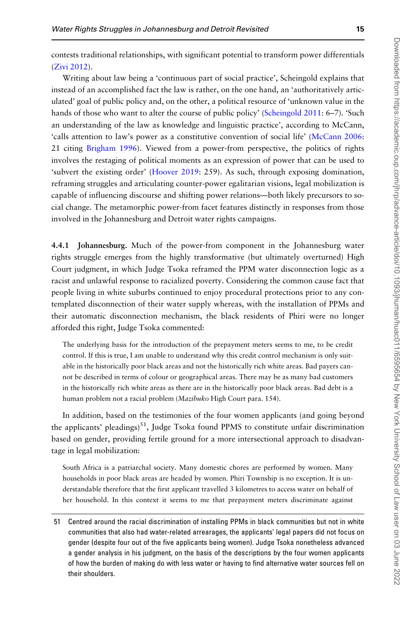contests traditional relationships, with significant potential to transform power differentials [\(Zivi 2012](#page-22-0)).

Writing about law being a 'continuous part of social practice', Scheingold explains that instead of an accomplished fact the law is rather, on the one hand, an 'authoritatively articulated' goal of public policy and, on the other, a political resource of 'unknown value in the hands of those who want to alter the course of public policy' [\(Scheingold 2011](#page-21-0): 6–7). 'Such an understanding of the law as knowledge and linguistic practice', according to McCann, 'calls attention to law's power as a constitutive convention of social life' [\(McCann 2006](#page-21-0): 21 citing [Brigham 1996\)](#page-19-0). Viewed from a power-from perspective, the politics of rights involves the restaging of political moments as an expression of power that can be used to 'subvert the existing order' ([Hoover 2019:](#page-20-0) 259). As such, through exposing domination, reframing struggles and articulating counter-power egalitarian visions, legal mobilization is capable of influencing discourse and shifting power relations—both likely precursors to social change. The metamorphic power-from facet features distinctly in responses from those involved in the Johannesburg and Detroit water rights campaigns.

4.4.1 Johannesburg. Much of the power-from component in the Johannesburg water rights struggle emerges from the highly transformative (but ultimately overturned) High Court judgment, in which Judge Tsoka reframed the PPM water disconnection logic as a racist and unlawful response to racialized poverty. Considering the common cause fact that people living in white suburbs continued to enjoy procedural protections prior to any contemplated disconnection of their water supply whereas, with the installation of PPMs and their automatic disconnection mechanism, the black residents of Phiri were no longer afforded this right, Judge Tsoka commented:

The underlying basis for the introduction of the prepayment meters seems to me, to be credit control. If this is true, I am unable to understand why this credit control mechanism is only suitable in the historically poor black areas and not the historically rich white areas. Bad payers cannot be described in terms of colour or geographical areas. There may be as many bad customers in the historically rich white areas as there are in the historically poor black areas. Bad debt is a human problem not a racial problem (Mazibuko High Court para. 154).

In addition, based on the testimonies of the four women applicants (and going beyond the applicants' pleadings)<sup>51</sup>, Judge Tsoka found PPMS to constitute unfair discrimination based on gender, providing fertile ground for a more intersectional approach to disadvantage in legal mobilization:

South Africa is a patriarchal society. Many domestic chores are performed by women. Many households in poor black areas are headed by women. Phiri Township is no exception. It is understandable therefore that the first applicant travelled 3 kilometres to access water on behalf of her household. In this context it seems to me that prepayment meters discriminate against

51 Centred around the racial discrimination of installing PPMs in black communities but not in white communities that also had water-related arrearages, the applicants' legal papers did not focus on gender (despite four out of the five applicants being women). Judge Tsoka nonetheless advanced a gender analysis in his judgment, on the basis of the descriptions by the four women applicants of how the burden of making do with less water or having to find alternative water sources fell on their shoulders.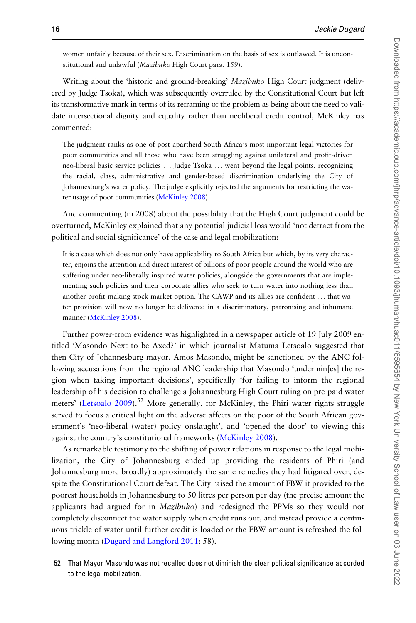women unfairly because of their sex. Discrimination on the basis of sex is outlawed. It is unconstitutional and unlawful (Mazibuko High Court para. 159).

Writing about the 'historic and ground-breaking' Mazibuko High Court judgment (delivered by Judge Tsoka), which was subsequently overruled by the Constitutional Court but left its transformative mark in terms of its reframing of the problem as being about the need to validate intersectional dignity and equality rather than neoliberal credit control, McKinley has commented:

The judgment ranks as one of post-apartheid South Africa's most important legal victories for poor communities and all those who have been struggling against unilateral and profit-driven neo-liberal basic service policies ... Judge Tsoka ... went beyond the legal points, recognizing the racial, class, administrative and gender-based discrimination underlying the City of Johannesburg's water policy. The judge explicitly rejected the arguments for restricting the water usage of poor communities [\(McKinley 2008\)](#page-21-0).

And commenting (in 2008) about the possibility that the High Court judgment could be overturned, McKinley explained that any potential judicial loss would 'not detract from the political and social significance' of the case and legal mobilization:

It is a case which does not only have applicability to South Africa but which, by its very character, enjoins the attention and direct interest of billions of poor people around the world who are suffering under neo-liberally inspired water policies, alongside the governments that are implementing such policies and their corporate allies who seek to turn water into nothing less than another profit-making stock market option. The CAWP and its allies are confident ... that water provision will now no longer be delivered in a discriminatory, patronising and inhumane manner ([McKinley 2008\)](#page-21-0).

Further power-from evidence was highlighted in a newspaper article of 19 July 2009 entitled 'Masondo Next to be Axed?' in which journalist Matuma Letsoalo suggested that then City of Johannesburg mayor, Amos Masondo, might be sanctioned by the ANC following accusations from the regional ANC leadership that Masondo 'undermin[es] the region when taking important decisions', specifically 'for failing to inform the regional leadership of his decision to challenge a Johannesburg High Court ruling on pre-paid water meters' [\(Letsoalo 2009\)](#page-20-0).<sup>52</sup> More generally, for McKinley, the Phiri water rights struggle served to focus a critical light on the adverse affects on the poor of the South African government's 'neo-liberal (water) policy onslaught', and 'opened the door' to viewing this against the country's constitutional frameworks ([McKinley 2008](#page-21-0)).

As remarkable testimony to the shifting of power relations in response to the legal mobilization, the City of Johannesburg ended up providing the residents of Phiri (and Johannesburg more broadly) approximately the same remedies they had litigated over, despite the Constitutional Court defeat. The City raised the amount of FBW it provided to the poorest households in Johannesburg to 50 litres per person per day (the precise amount the applicants had argued for in Mazibuko) and redesigned the PPMs so they would not completely disconnect the water supply when credit runs out, and instead provide a continuous trickle of water until further credit is loaded or the FBW amount is refreshed the following month ([Dugard and Langford 2011](#page-19-0): 58).

<sup>52</sup> That Mayor Masondo was not recalled does not diminish the clear political significance accorded to the legal mobilization.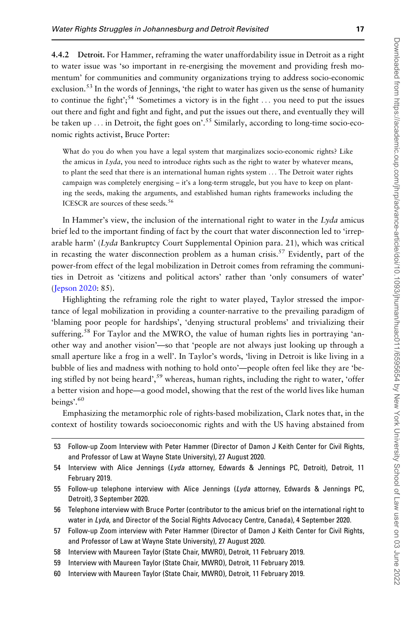4.4.2 Detroit. For Hammer, reframing the water unaffordability issue in Detroit as a right to water issue was 'so important in re-energising the movement and providing fresh momentum' for communities and community organizations trying to address socio-economic exclusion.<sup>53</sup> In the words of Jennings, 'the right to water has given us the sense of humanity to continue the fight';<sup>54</sup> 'Sometimes a victory is in the fight ... you need to put the issues out there and fight and fight and fight, and put the issues out there, and eventually they will be taken up ... in Detroit, the fight goes on'.<sup>55</sup> Similarly, according to long-time socio-economic rights activist, Bruce Porter:

What do you do when you have a legal system that marginalizes socio-economic rights? Like the amicus in  $Lyda$ , you need to introduce rights such as the right to water by whatever means, to plant the seed that there is an international human rights system ... The Detroit water rights campaign was completely energising – it's a long-term struggle, but you have to keep on planting the seeds, making the arguments, and established human rights frameworks including the ICESCR are sources of these seeds.<sup>56</sup>

In Hammer's view, the inclusion of the international right to water in the Lyda amicus brief led to the important finding of fact by the court that water disconnection led to 'irreparable harm' (Lyda Bankruptcy Court Supplemental Opinion para. 21), which was critical in recasting the water disconnection problem as a human crisis.<sup>57</sup> Evidently, part of the power-from effect of the legal mobilization in Detroit comes from reframing the communities in Detroit as 'citizens and political actors' rather than 'only consumers of water' [\(Jepson 2020:](#page-20-0) 85).

Highlighting the reframing role the right to water played, Taylor stressed the importance of legal mobilization in providing a counter-narrative to the prevailing paradigm of 'blaming poor people for hardships', 'denying structural problems' and trivializing their suffering.<sup>58</sup> For Taylor and the MWRO, the value of human rights lies in portraying 'another way and another vision'—so that 'people are not always just looking up through a small aperture like a frog in a well'. In Taylor's words, 'living in Detroit is like living in a bubble of lies and madness with nothing to hold onto'—people often feel like they are 'being stifled by not being heard',<sup>59</sup> whereas, human rights, including the right to water, 'offer a better vision and hope—a good model, showing that the rest of the world lives like human beings'.<sup>60</sup>

Emphasizing the metamorphic role of rights-based mobilization, Clark notes that, in the context of hostility towards socioeconomic rights and with the US having abstained from

<sup>53</sup> Follow-up Zoom Interview with Peter Hammer (Director of Damon J Keith Center for Civil Rights, and Professor of Law at Wayne State University), 27 August 2020.

<sup>54</sup> Interview with Alice Jennings (Lyda attorney, Edwards & Jennings PC, Detroit), Detroit, 11 February 2019.

<sup>55</sup> Follow-up telephone interview with Alice Jennings ( $Lyda$  attorney, Edwards & Jennings PC, Detroit), 3 September 2020.

<sup>56</sup> Telephone interview with Bruce Porter (contributor to the amicus brief on the international right to water in Lyda, and Director of the Social Rights Advocacy Centre, Canada), 4 September 2020.

<sup>57</sup> Follow-up Zoom interview with Peter Hammer (Director of Damon J Keith Center for Civil Rights, and Professor of Law at Wayne State University), 27 August 2020.

<sup>58</sup> Interview with Maureen Taylor (State Chair, MWRO), Detroit, 11 February 2019.

<sup>59</sup> Interview with Maureen Taylor (State Chair, MWRO), Detroit, 11 February 2019.

<sup>60</sup> Interview with Maureen Taylor (State Chair, MWRO), Detroit, 11 February 2019.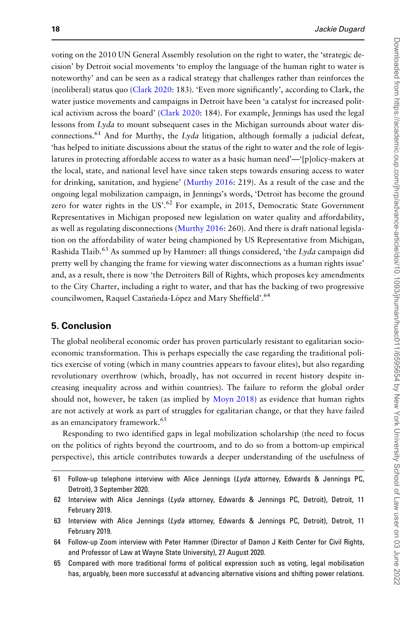voting on the 2010 UN General Assembly resolution on the right to water, the 'strategic decision' by Detroit social movements 'to employ the language of the human right to water is noteworthy' and can be seen as a radical strategy that challenges rather than reinforces the (neoliberal) status quo [\(Clark 2020:](#page-19-0) 183). 'Even more significantly', according to Clark, the water justice movements and campaigns in Detroit have been 'a catalyst for increased political activism across the board' ([Clark 2020:](#page-19-0) 184). For example, Jennings has used the legal lessons from Lyda to mount subsequent cases in the Michigan surrounds about water disconnections.<sup>61</sup> And for Murthy, the Lyda litigation, although formally a judicial defeat, 'has helped to initiate discussions about the status of the right to water and the role of legislatures in protecting affordable access to water as a basic human need'—'[p]olicy-makers at the local, state, and national level have since taken steps towards ensuring access to water for drinking, sanitation, and hygiene' [\(Murthy 2016](#page-21-0): 219). As a result of the case and the ongoing legal mobilization campaign, in Jennings's words, 'Detroit has become the ground zero for water rights in the US'.<sup>62</sup> For example, in 2015, Democratic State Government Representatives in Michigan proposed new legislation on water quality and affordability, as well as regulating disconnections ([Murthy 2016:](#page-21-0) 260). And there is draft national legislation on the affordability of water being championed by US Representative from Michigan, Rashida Tlaib.<sup>63</sup> As summed up by Hammer: all things considered, 'the Lyda campaign did pretty well by changing the frame for viewing water disconnections as a human rights issue' and, as a result, there is now 'the Detroiters Bill of Rights, which proposes key amendments to the City Charter, including a right to water, and that has the backing of two progressive councilwomen, Raquel Castañeda-López and Mary Sheffield'.<sup>64</sup>

## 5. Conclusion

The global neoliberal economic order has proven particularly resistant to egalitarian socioeconomic transformation. This is perhaps especially the case regarding the traditional politics exercise of voting (which in many countries appears to favour elites), but also regarding revolutionary overthrow (which, broadly, has not occurred in recent history despite increasing inequality across and within countries). The failure to reform the global order should not, however, be taken (as implied by [Moyn 2018](#page-21-0)) as evidence that human rights are not actively at work as part of struggles for egalitarian change, or that they have failed as an emancipatory framework.<sup>65</sup>

Responding to two identified gaps in legal mobilization scholarship (the need to focus on the politics of rights beyond the courtroom, and to do so from a bottom-up empirical perspective), this article contributes towards a deeper understanding of the usefulness of

65 Compared with more traditional forms of political expression such as voting, legal mobilisation has, arguably, been more successful at advancing alternative visions and shifting power relations.

<sup>61</sup> Follow-up telephone interview with Alice Jennings ( $Lyda$  attorney, Edwards & Jennings PC, Detroit), 3 September 2020.

<sup>62</sup> Interview with Alice Jennings ( $Lyda$  attorney, Edwards & Jennings PC, Detroit), Detroit, 11 February 2019.

<sup>63</sup> Interview with Alice Jennings (Lyda attorney, Edwards & Jennings PC, Detroit), Detroit, 11 February 2019.

<sup>64</sup> Follow-up Zoom interview with Peter Hammer (Director of Damon J Keith Center for Civil Rights, and Professor of Law at Wayne State University), 27 August 2020.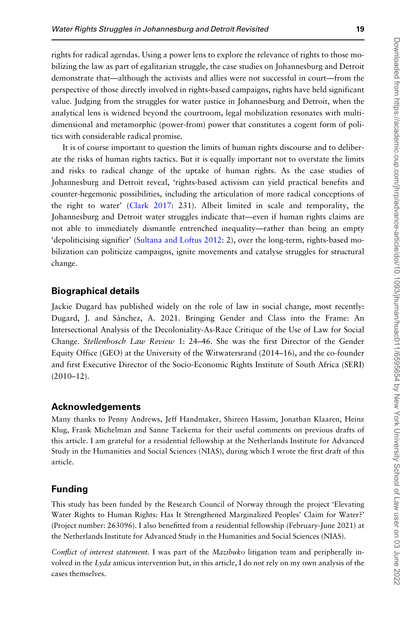rights for radical agendas. Using a power lens to explore the relevance of rights to those mobilizing the law as part of egalitarian struggle, the case studies on Johannesburg and Detroit demonstrate that—although the activists and allies were not successful in court—from the perspective of those directly involved in rights-based campaigns, rights have held significant value. Judging from the struggles for water justice in Johannesburg and Detroit, when the analytical lens is widened beyond the courtroom, legal mobilization resonates with multidimensional and metamorphic (power-from) power that constitutes a cogent form of politics with considerable radical promise.

It is of course important to question the limits of human rights discourse and to deliberate the risks of human rights tactics. But it is equally important not to overstate the limits and risks to radical change of the uptake of human rights. As the case studies of Johannesburg and Detroit reveal, 'rights-based activism can yield practical benefits and counter-hegemonic possibilities, including the articulation of more radical conceptions of the right to water' ([Clark 2017](#page-19-0): 231). Albeit limited in scale and temporality, the Johannesburg and Detroit water struggles indicate that—even if human rights claims are not able to immediately dismantle entrenched inequality—rather than being an empty 'depoliticising signifier' [\(Sultana and Loftus 2012:](#page-22-0) 2), over the long-term, rights-based mobilization can politicize campaigns, ignite movements and catalyse struggles for structural change.

## Biographical details

Jackie Dugard has published widely on the role of law in social change, most recently: Dugard, J. and Sánchez, A. 2021. Bringing Gender and Class into the Frame: An Intersectional Analysis of the Decoloniality-As-Race Critique of the Use of Law for Social Change. Stellenbosch Law Review 1: 24–46. She was the first Director of the Gender Equity Office (GEO) at the University of the Witwatersrand (2014–16), and the co-founder and first Executive Director of the Socio-Economic Rights Institute of South Africa (SERI) (2010–12).

#### Acknowledgements

Many thanks to Penny Andrews, Jeff Handmaker, Shireen Hassim, Jonathan Klaaren, Heinz Klug, Frank Michelman and Sanne Taekema for their useful comments on previous drafts of this article. I am grateful for a residential fellowship at the Netherlands Institute for Advanced Study in the Humanities and Social Sciences (NIAS), during which I wrote the first draft of this article.

#### Funding

This study has been funded by the Research Council of Norway through the project 'Elevating Water Rights to Human Rights: Has It Strengthened Marginalized Peoples' Claim for Water?' (Project number: 263096). I also benefitted from a residential fellowship (February-June 2021) at the Netherlands Institute for Advanced Study in the Humanities and Social Sciences (NIAS).

Conflict of interest statement. I was part of the *Mazibuko* litigation team and peripherally involved in the Lyda amicus intervention but, in this article, I do not rely on my own analysis of the cases themselves.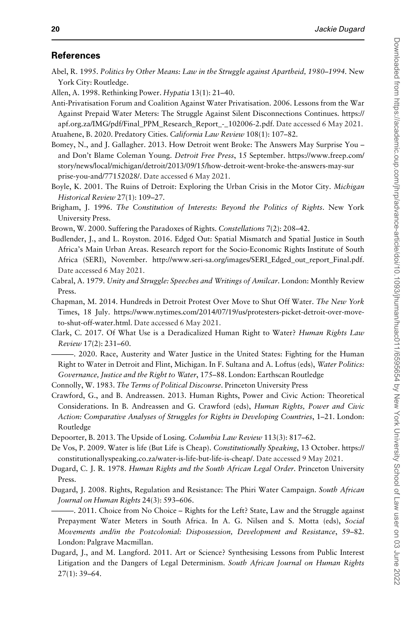#### <span id="page-19-0"></span>**References**

- Abel, R. 1995. Politics by Other Means: Law in the Struggle against Apartheid, 1980–1994. New York City: Routledge.
- Allen, A. 1998. Rethinking Power. Hypatia 13(1): 21–40.
- Anti-Privatisation Forum and Coalition Against Water Privatisation. 2006. Lessons from the War Against Prepaid Water Meters: The Struggle Against Silent Disconnections Continues. [https://](https://apf.org.za/IMG/pdf/Final_PPM_Research_Report_-_102006-2.pdf) [apf.org.za/IMG/pdf/Final\\_PPM\\_Research\\_Report\\_-\\_102006-2.pdf.](https://apf.org.za/IMG/pdf/Final_PPM_Research_Report_-_102006-2.pdf) Date accessed 6 May 2021. Atuahene, B. 2020. Predatory Cities. California Law Review 108(1): 107–82.

Bomey, N., and J. Gallagher. 2013. How Detroit went Broke: The Answers May Surprise You –

- and Don't Blame Coleman Young. Detroit Free Press, 15 September. [https://www.freep.com/](https://www.freep.com/story/news/local/michigan/detroit/2013/09/15/how-detroit-went-broke-the-answers-may-surprise-you-and/77152028/) [story/news/local/michigan/detroit/2013/09/15/how-detroit-went-broke-the-answers-may-sur](https://www.freep.com/story/news/local/michigan/detroit/2013/09/15/how-detroit-went-broke-the-answers-may-surprise-you-and/77152028/) [prise-you-and/77152028/.](https://www.freep.com/story/news/local/michigan/detroit/2013/09/15/how-detroit-went-broke-the-answers-may-surprise-you-and/77152028/) Date accessed 6 May 2021.
- Boyle, K. 2001. The Ruins of Detroit: Exploring the Urban Crisis in the Motor City. Michigan Historical Review 27(1): 109–27.
- Brigham, J. 1996. The Constitution of Interests: Beyond the Politics of Rights. New York University Press.
- Brown, W. 2000. Suffering the Paradoxes of Rights. Constellations 7(2): 208–42.
- Budlender, J., and L. Royston. 2016. Edged Out: Spatial Mismatch and Spatial Justice in South Africa's Main Urban Areas. Research report for the Socio-Economic Rights Institute of South Africa (SERI), November. [http://www.seri-sa.org/images/SERI\\_Edged\\_out\\_report\\_Final.pdf](http://www.seri-sa.org/images/SERI_Edged_out_report_Final.pdf). Date accessed 6 May 2021.
- Cabral, A. 1979. Unity and Struggle: Speeches and Writings of Amilcar. London: Monthly Review Press.
- Chapman, M. 2014. Hundreds in Detroit Protest Over Move to Shut Off Water. The New York Times, 18 July. [https://www.nytimes.com/2014/07/19/us/protesters-picket-detroit-over-move](https://www.nytimes.com/2014/07/19/us/protesters-picket-detroit-over-move-to-shut-off-water.html)[to-shut-off-water.html.](https://www.nytimes.com/2014/07/19/us/protesters-picket-detroit-over-move-to-shut-off-water.html) Date accessed 6 May 2021.
- Clark, C. 2017. Of What Use is a Deradicalized Human Right to Water? Human Rights Law Review 17(2): 231–60.

———. 2020. Race, Austerity and Water Justice in the United States: Fighting for the Human Right to Water in Detroit and Flint, Michigan. In F. Sultana and A. Loftus (eds), Water Politics: Governance, Justice and the Right to Water, 175–88. London: Earthscan Routledge

Connolly, W. 1983. The Terms of Political Discourse. Princeton University Press

- Crawford, G., and B. Andreassen. 2013. Human Rights, Power and Civic Action: Theoretical Considerations. In B. Andreassen and G. Crawford (eds), Human Rights, Power and Civic Action: Comparative Analyses of Struggles for Rights in Developing Countries, 1–21. London: Routledge
- Depoorter, B. 2013. The Upside of Losing. Columbia Law Review 113(3): 817–62.
- De Vos, P. 2009. Water is life (But Life is Cheap). Constitutionally Speaking, 13 October. [https://](https://constitutionallyspeaking.co.za/water-is-life-but-life-is-cheap/) [constitutionallyspeaking.co.za/water-is-life-but-life-is-cheap/.](https://constitutionallyspeaking.co.za/water-is-life-but-life-is-cheap/) Date accessed 9 May 2021.
- Dugard, C. J. R. 1978. Human Rights and the South African Legal Order. Princeton University Press.
- Dugard, J. 2008. Rights, Regulation and Resistance: The Phiri Water Campaign. South African Journal on Human Rights 24(3): 593–606.
- ———. 2011. Choice from No Choice Rights for the Left? State, Law and the Struggle against Prepayment Water Meters in South Africa. In A. G. Nilsen and S. Motta (eds), Social Movements and/in the Postcolonial: Dispossession, Development and Resistance, 59–82. London: Palgrave Macmillan.
- Dugard, J., and M. Langford. 2011. Art or Science? Synthesising Lessons from Public Interest Litigation and the Dangers of Legal Determinism. South African Journal on Human Rights 27(1): 39–64.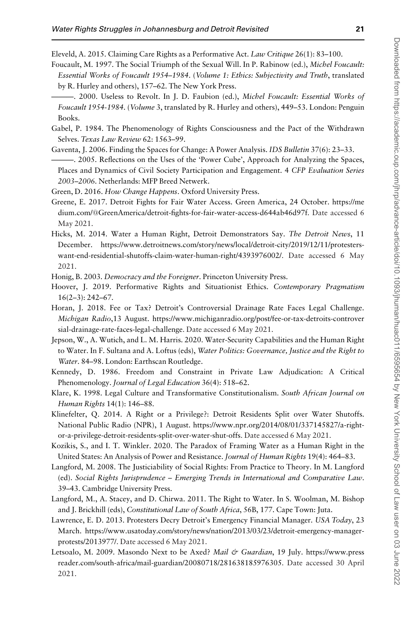<span id="page-20-0"></span>Eleveld, A. 2015. Claiming Care Rights as a Performative Act. Law Critique 26(1): 83–100.

- Foucault, M. 1997. The Social Triumph of the Sexual Will. In P. Rabinow (ed.), Michel Foucault: Essential Works of Foucault 1954–1984. (Volume 1: Ethics: Subjectivity and Truth, translated by R. Hurley and others), 157–62. The New York Press.
- -. 2000. Useless to Revolt. In J. D. Faubion (ed.), Michel Foucault: Essential Works of Foucault 1954-1984. (Volume 3, translated by R. Hurley and others), 449–53. London: Penguin Books.
- Gabel, P. 1984. The Phenomenology of Rights Consciousness and the Pact of the Withdrawn Selves. Texas Law Review 62: 1563–99.
- Gaventa, J. 2006. Finding the Spaces for Change: A Power Analysis. IDS Bulletin 37(6): 23–33.
- ———. 2005. Reflections on the Uses of the 'Power Cube', Approach for Analyzing the Spaces, Places and Dynamics of Civil Society Participation and Engagement. 4 CFP Evaluation Series 2003–2006. Netherlands: MFP Breed Netwerk.
- Green, D. 2016. How Change Happens. Oxford University Press.
- Greene, E. 2017. Detroit Fights for Fair Water Access. Green America, 24 October. [https://me](https://medium.com/&hx0040;GreenAmerica/detroit-fights-for-fair-water-access-d644ab46d97f) [dium.com/](https://medium.com/&hx0040;GreenAmerica/detroit-fights-for-fair-water-access-d644ab46d97f)@[GreenAmerica/detroit-fights-for-fair-water-access-d644ab46d97f](https://medium.com/&hx0040;GreenAmerica/detroit-fights-for-fair-water-access-d644ab46d97f). Date accessed 6 May 2021.
- Hicks, M. 2014. Water a Human Right, Detroit Demonstrators Say. The Detroit News, 11 December. [https://www.detroitnews.com/story/news/local/detroit-city/2019/12/11/protesters](https://www.detroitnews.com/story/news/local/detroit-city/2019/12/11/protesters-want-end-residential-shutoffs-claim-water-human-right/4393976002/)[want-end-residential-shutoffs-claim-water-human-right/4393976002/.](https://www.detroitnews.com/story/news/local/detroit-city/2019/12/11/protesters-want-end-residential-shutoffs-claim-water-human-right/4393976002/) Date accessed 6 May 2021.
- Honig, B. 2003. Democracy and the Foreigner. Princeton University Press.
- Hoover, J. 2019. Performative Rights and Situationist Ethics. Contemporary Pragmatism 16(2–3): 242–67.
- Horan, J. 2018. Fee or Tax? Detroit's Controversial Drainage Rate Faces Legal Challenge. Michigan Radio,13 August. [https://www.michiganradio.org/post/fee-or-tax-detroits-controver](https://www.michiganradio.org/post/fee-or-tax-detroits-controversial-drainage-rate-faces-legal-challenge) [sial-drainage-rate-faces-legal-challenge](https://www.michiganradio.org/post/fee-or-tax-detroits-controversial-drainage-rate-faces-legal-challenge). Date accessed 6 May 2021.
- Jepson, W., A. Wutich, and L. M. Harris. 2020. Water-Security Capabilities and the Human Right to Water. In F. Sultana and A. Loftus (eds), Water Politics: Governance, Justice and the Right to Water. 84–98. London: Earthscan Routledge.
- Kennedy, D. 1986. Freedom and Constraint in Private Law Adjudication: A Critical Phenomenology. Journal of Legal Education 36(4): 518–62.
- Klare, K. 1998. Legal Culture and Transformative Constitutionalism. South African Journal on Human Rights 14(1): 146–88.
- Klinefelter, Q. 2014. A Right or a Privilege?: Detroit Residents Split over Water Shutoffs. National Public Radio (NPR), 1 August. [https://www.npr.org/2014/08/01/337145827/a-right](https://www.npr.org/2014/08/01/337145827/a-right-or-a-privilege-detroit-residents-split-over-water-shut-offs)[or-a-privilege-detroit-residents-split-over-water-shut-offs.](https://www.npr.org/2014/08/01/337145827/a-right-or-a-privilege-detroit-residents-split-over-water-shut-offs) Date accessed 6 May 2021.
- Kozikis, S., and I. T. Winkler. 2020. The Paradox of Framing Water as a Human Right in the United States: An Analysis of Power and Resistance. Journal of Human Rights 19(4): 464-83.
- Langford, M. 2008. The Justiciability of Social Rights: From Practice to Theory. In M. Langford (ed). Social Rights Jurisprudence – Emerging Trends in International and Comparative Law. 39–43. Cambridge University Press.
- Langford, M., A. Stacey, and D. Chirwa. 2011. The Right to Water. In S. Woolman, M. Bishop and J. Brickhill (eds), Constitutional Law of South Africa, 56B, 177. Cape Town: Juta.
- Lawrence, E. D. 2013. Protesters Decry Detroit's Emergency Financial Manager. USA Today, 23 March. [https://www.usatoday.com/story/news/nation/2013/03/23/detroit-emergency-manager](https://www.usatoday.com/story/news/nation/2013/03/23/detroit-emergency-manager-protests/2013977/)[protests/2013977/.](https://www.usatoday.com/story/news/nation/2013/03/23/detroit-emergency-manager-protests/2013977/) Date accessed 6 May 2021.
- Letsoalo, M. 2009. Masondo Next to be Axed? Mail & Guardian, 19 July. [https://www.press](https://www.pressreader.com/south-africa/mail-guardian/20080718/281638185976305) [reader.com/south-africa/mail-guardian/20080718/281638185976305.](https://www.pressreader.com/south-africa/mail-guardian/20080718/281638185976305) Date accessed 30 April 2021.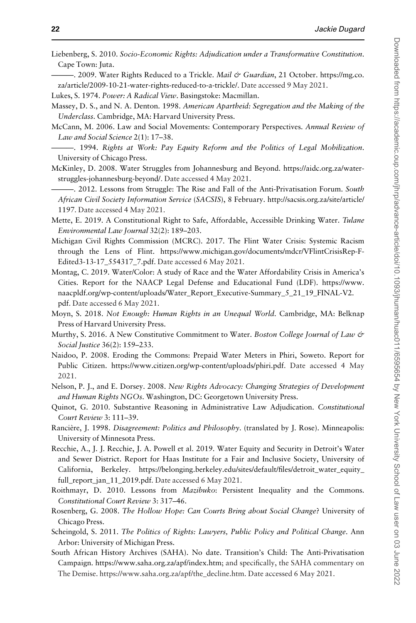<span id="page-21-0"></span>Liebenberg, S. 2010. Socio-Economic Rights: Adjudication under a Transformative Constitution. Cape Town: Juta.

-. 2009. Water Rights Reduced to a Trickle. Mail & Guardian, 21 October. [https://mg.co.](https://mg.co.za/article/2009-10-21-water-rights-reduced-to-a-trickle/) [za/article/2009-10-21-water-rights-reduced-to-a-trickle/.](https://mg.co.za/article/2009-10-21-water-rights-reduced-to-a-trickle/) Date accessed 9 May 2021.

Lukes, S. 1974. Power: A Radical View. Basingstoke: Macmillan.

- Massey, D. S., and N. A. Denton. 1998. American Apartheid: Segregation and the Making of the Underclass. Cambridge, MA: Harvard University Press.
- McCann, M. 2006. Law and Social Movements: Contemporary Perspectives. Annual Review of Law and Social Science 2(1): 17–38.
- ———. 1994. Rights at Work: Pay Equity Reform and the Politics of Legal Mobilization. University of Chicago Press.
- McKinley, D. 2008. Water Struggles from Johannesburg and Beyond. [https://aidc.org.za/water](https://aidc.org.za/water-struggles-johannesburg-beyond/)[struggles-johannesburg-beyond/.](https://aidc.org.za/water-struggles-johannesburg-beyond/) Date accessed 4 May 2021.
- 2012. Lessons from Struggle: The Rise and Fall of the Anti-Privatisation Forum. South African Civil Society Information Service (SACSIS), 8 February. [http://sacsis.org.za/site/article/](http://sacsis.org.za/site/article/1197) [1197](http://sacsis.org.za/site/article/1197). Date accessed 4 May 2021.
- Mette, E. 2019. A Constitutional Right to Safe, Affordable, Accessible Drinking Water. Tulane Environmental Law Journal 32(2): 189–203.
- Michigan Civil Rights Commission (MCRC). 2017. The Flint Water Crisis: Systemic Racism through the Lens of Flint. [https://www.michigan.gov/documents/mdcr/VFlintCrisisRep-F-](https://www.michigan.gov/documents/mdcr/VFlintCrisisRep-F-Edited3-13-17_554317_7.pdf)[Edited3-13-17\\_554317\\_7.pdf.](https://www.michigan.gov/documents/mdcr/VFlintCrisisRep-F-Edited3-13-17_554317_7.pdf) Date accessed 6 May 2021.
- Montag, C. 2019. Water/Color: A study of Race and the Water Affordability Crisis in America's Cities. Report for the NAACP Legal Defense and Educational Fund (LDF). [https://www.](https://www.naacpldf.org/wp-content/uploads/Water_Report_Executive-Summary_5_21_19_FINAL-V2.pdf) [naacpldf.org/wp-content/uploads/Water\\_Report\\_Executive-Summary\\_5\\_21\\_19\\_FINAL-V2.](https://www.naacpldf.org/wp-content/uploads/Water_Report_Executive-Summary_5_21_19_FINAL-V2.pdf) [pdf](https://www.naacpldf.org/wp-content/uploads/Water_Report_Executive-Summary_5_21_19_FINAL-V2.pdf). Date accessed 6 May 2021.
- Moyn, S. 2018. Not Enough: Human Rights in an Unequal World. Cambridge, MA: Belknap Press of Harvard University Press.
- Murthy, S. 2016. A New Constitutive Commitment to Water. Boston College Journal of Law & Social Justice 36(2): 159–233.
- Naidoo, P. 2008. Eroding the Commons: Prepaid Water Meters in Phiri, Soweto. Report for Public Citizen. [https://www.citizen.org/wp-content/uploads/phiri.pdf.](https://www.citizen.org/wp-content/uploads/phiri.pdf) Date accessed 4 May 2021.
- Nelson, P. J., and E. Dorsey. 2008. New Rights Advocacy: Changing Strategies of Development and Human Rights NGOs. Washington, DC: Georgetown University Press.
- Quinot, G. 2010. Substantive Reasoning in Administrative Law Adjudication. Constitutional Court Review 3: 111–39.
- Rancière, J. 1998. Disagreement: Politics and Philosophy. (translated by J. Rose). Minneapolis: University of Minnesota Press.
- Recchie, A., J. J. Recchie, J. A. Powell et al. 2019. Water Equity and Security in Detroit's Water and Sewer District. Report for Haas Institute for a Fair and Inclusive Society, University of California, Berkeley. [https://belonging.berkeley.edu/sites/default/files/detroit\\_water\\_equity\\_](https://belonging.berkeley.edu/sites/default/files/detroit_water_equity_full_report_jan_11_2019.pdf) [full\\_report\\_jan\\_11\\_2019.pdf](https://belonging.berkeley.edu/sites/default/files/detroit_water_equity_full_report_jan_11_2019.pdf). Date accessed 6 May 2021.
- Roithmayr, D. 2010. Lessons from Mazibuko: Persistent Inequality and the Commons. Constitutional Court Review 3: 317–46.
- Rosenberg, G. 2008. The Hollow Hope: Can Courts Bring about Social Change? University of Chicago Press.
- Scheingold, S. 2011. The Politics of Rights: Lawyers, Public Policy and Political Change. Ann Arbor: University of Michigan Press.
- South African History Archives (SAHA). No date. Transition's Child: The Anti-Privatisation Campaign. [https://www.saha.org.za/apf/index.htm;](https://www.saha.org.za/apf/index.htm) and specifically, the SAHA commentary on The Demise. [https://www.saha.org.za/apf/the\\_decline.htm.](https://www.saha.org.za/apf/the_decline.htm) Date accessed 6 May 2021.